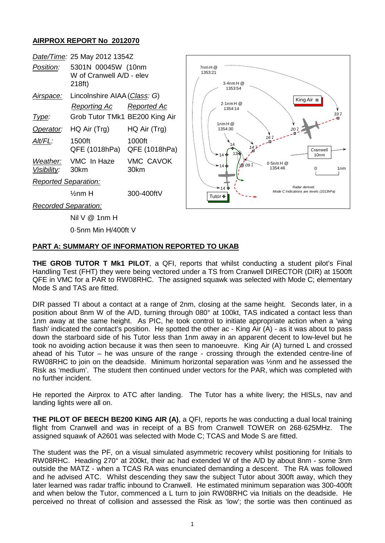## **AIRPROX REPORT No 2012070**

| Date/Time: 25 May 2012 1354Z |                                                          |                          |                                                                                                                                                        |
|------------------------------|----------------------------------------------------------|--------------------------|--------------------------------------------------------------------------------------------------------------------------------------------------------|
| Position:                    | 5301N 00045W (10nm<br>W of Cranwell A/D - elev<br>218ft) |                          | 7nmH@<br>1353:21<br>$3.4$ nm $H @$<br>1353:54<br>King Air ■                                                                                            |
| <u>Airspace:</u>             | Lincolnshire AIAA (Class: G)                             |                          |                                                                                                                                                        |
|                              | <b>Reporting Ac</b>                                      | Reported Ac              | $2.1$ nm $H$ @<br>1354:14                                                                                                                              |
| <u>Type:</u>                 | Grob Tutor TMk1 BE200 King Air                           |                          | 337                                                                                                                                                    |
| Operator:                    | HQ Air (Trg)                                             | HQ Air (Trg)             | 1nmH@<br>1354:30<br>207<br>14.7<br>Cranwell<br>⊁14 ቀ<br>10 <sub>nm</sub><br>$0.5$ nm $H@$<br>1 09 ק<br>⊁14 ቁ<br>1354:46<br>1 <sub>nm</sub><br>$\Omega$ |
| Alt/FL:                      | 1500ft<br>QFE (1018hPa)                                  | 1000ft<br>QFE (1018hPa)  |                                                                                                                                                        |
| Weather:<br>Visibility:      | VMC In Haze<br>30km                                      | <b>VMC CAVOK</b><br>30km |                                                                                                                                                        |
| <b>Reported Separation:</b>  |                                                          |                          |                                                                                                                                                        |
|                              | $\frac{1}{2}$ nm H                                       | 300-400ftV               | Radar derived.<br>≫ 14 ซื<br>Mode C Indications are levels (1013hPa)<br>Tutor +                                                                        |
| <b>Recorded Separation:</b>  |                                                          |                          |                                                                                                                                                        |
|                              | Nil V @ 1nm H                                            |                          |                                                                                                                                                        |

0·5nm Min H/400ft V

## **PART A: SUMMARY OF INFORMATION REPORTED TO UKAB**

**THE GROB TUTOR T Mk1 PILOT**, a QFI, reports that whilst conducting a student pilot's Final Handling Test (FHT) they were being vectored under a TS from Cranwell DIRECTOR (DIR) at 1500ft QFE in VMC for a PAR to RW08RHC. The assigned squawk was selected with Mode C; elementary Mode S and TAS are fitted.

DIR passed TI about a contact at a range of 2nm, closing at the same height. Seconds later, in a position about 8nm W of the A/D, turning through 080° at 100kt, TAS indicated a contact less than 1nm away at the same height. As PIC, he took control to initiate appropriate action when a 'wing flash' indicated the contact's position. He spotted the other ac - King Air (A) - as it was about to pass down the starboard side of his Tutor less than 1nm away in an apparent decent to low-level but he took no avoiding action because it was then seen to manoeuvre. King Air (A) turned L and crossed ahead of his Tutor – he was unsure of the range - crossing through the extended centre-line of RW08RHC to join on the deadside. Minimum horizontal separation was ½nm and he assessed the Risk as 'medium'. The student then continued under vectors for the PAR, which was completed with no further incident.

He reported the Airprox to ATC after landing. The Tutor has a white livery; the HISLs, nav and landing lights were all on.

**THE PILOT OF BEECH BE200 KING AIR (A)**, a QFI, reports he was conducting a dual local training flight from Cranwell and was in receipt of a BS from Cranwell TOWER on 268·625MHz. The assigned squawk of A2601 was selected with Mode C; TCAS and Mode S are fitted.

The student was the PF, on a visual simulated asymmetric recovery whilst positioning for Initials to RW08RHC. Heading 270° at 200kt, their ac had extended W of the A/D by about 8nm - some 3nm outside the MATZ - when a TCAS RA was enunciated demanding a descent. The RA was followed and he advised ATC. Whilst descending they saw the subject Tutor about 300ft away, which they later learned was radar traffic inbound to Cranwell. He estimated minimum separation was 300-400ft and when below the Tutor, commenced a L turn to join RW08RHC via Initials on the deadside. He perceived no threat of collision and assessed the Risk as 'low'; the sortie was then continued as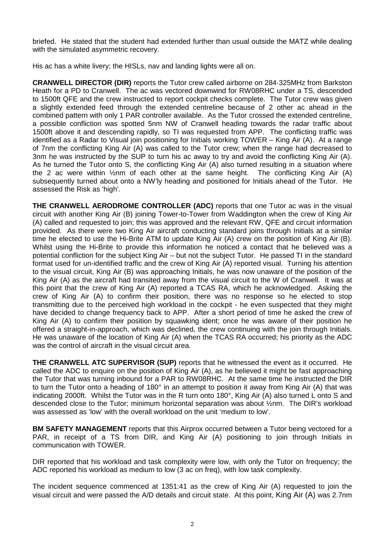briefed. He stated that the student had extended further than usual outside the MATZ while dealing with the simulated asymmetric recovery.

His ac has a white livery; the HISLs, nav and landing lights were all on.

**CRANWELL DIRECTOR (DIR)** reports the Tutor crew called airborne on 284·325MHz from Barkston Heath for a PD to Cranwell. The ac was vectored downwind for RW08RHC under a TS, descended to 1500ft QFE and the crew instructed to report cockpit checks complete. The Tutor crew was given a slightly extended feed through the extended centreline because of 2 other ac ahead in the combined pattern with only 1 PAR controller available. As the Tutor crossed the extended centreline, a possible confliction was spotted 5nm NW of Cranwell heading towards the radar traffic about 1500ft above it and descending rapidly, so TI was requested from APP. The conflicting traffic was identified as a Radar to Visual join positioning for Initials working TOWER – King Air (A). At a range of 7nm the conflicting King Air (A) was called to the Tutor crew; when the range had decreased to 3nm he was instructed by the SUP to turn his ac away to try and avoid the conflicting King Air (A). As he turned the Tutor onto S, the conflicting King Air (A) also turned resulting in a situation where the 2 ac were within ½nm of each other at the same height. The conflicting King Air (A) subsequently turned about onto a NW'ly heading and positioned for Initials ahead of the Tutor. He assessed the Risk as 'high'.

**THE CRANWELL AERODROME CONTROLLER (ADC)** reports that one Tutor ac was in the visual circuit with another King Air (B) joining Tower-to-Tower from Waddington when the crew of King Air (A) called and requested to join; this was approved and the relevant RW, QFE and circuit information provided. As there were two King Air aircraft conducting standard joins through Initials at a similar time he elected to use the Hi-Brite ATM to update King Air (A) crew on the position of King Air (B). Whilst using the Hi-Brite to provide this information he noticed a contact that he believed was a potential confliction for the subject King Air – but not the subject Tutor. He passed TI in the standard format used for un-identified traffic and the crew of King Air (A) reported visual. Turning his attention to the visual circuit, King Air (B) was approaching Initials, he was now unaware of the position of the King Air (A) as the aircraft had transited away from the visual circuit to the W of Cranwell. It was at this point that the crew of King Air (A) reported a TCAS RA, which he acknowledged. Asking the crew of King Air (A) to confirm their position, there was no response so he elected to stop transmitting due to the perceived high workload in the cockpit - he even suspected that they might have decided to change frequency back to APP. After a short period of time he asked the crew of King Air (A) to confirm their position by squawking ident; once he was aware of their position he offered a straight-in-approach, which was declined, the crew continuing with the join through Initials. He was unaware of the location of King Air (A) when the TCAS RA occurred; his priority as the ADC was the control of aircraft in the visual circuit area.

**THE CRANWELL ATC SUPERVISOR (SUP)** reports that he witnessed the event as it occurred. He called the ADC to enquire on the position of King Air (A), as he believed it might be fast approaching the Tutor that was turning inbound for a PAR to RW08RHC. At the same time he instructed the DIR to turn the Tutor onto a heading of 180° in an attempt to position it away from King Air (A) that was indicating 2000ft. Whilst the Tutor was in the R turn onto 180°, King Air (A) also turned L onto S and descended close to the Tutor; minimum horizontal separation was about ½nm. The DIR's workload was assessed as 'low' with the overall workload on the unit 'medium to low'.

**BM SAFETY MANAGEMENT** reports that this Airprox occurred between a Tutor being vectored for a PAR, in receipt of a TS from DIR, and King Air (A) positioning to join through Initials in communication with TOWER.

DIR reported that his workload and task complexity were low, with only the Tutor on frequency; the ADC reported his workload as medium to low (3 ac on freq), with low task complexity.

The incident sequence commenced at 1351:41 as the crew of King Air (A) requested to join the visual circuit and were passed the A/D details and circuit state. At this point, King Air (A) was 2.7nm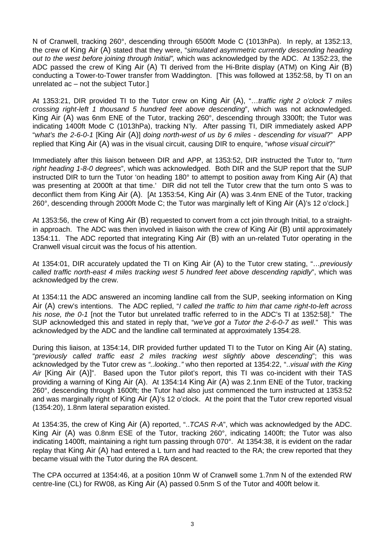N of Cranwell, tracking 260°, descending through 6500ft Mode C (1013hPa). In reply, at 1352:13, the crew of King Air (A) stated that they were, "*simulated asymmetric currently descending heading out to the west before joining through Initial",* which was acknowledged by the ADC. At 1352:23, the ADC passed the crew of King Air (A) TI derived from the Hi-Brite display (ATM) on King Air (B) conducting a Tower-to-Tower transfer from Waddington. [This was followed at 1352:58, by TI on an unrelated ac – not the subject Tutor.]

At 1353:21, DIR provided TI to the Tutor crew on King Air (A), "…*traffic right 2 o'clock 7 miles crossing right-left 1 thousand 5 hundred feet above descending*", which was not acknowledged. King Air (A) was 6nm ENE of the Tutor, tracking 260°, descending through 3300ft; the Tutor was indicating 1400ft Mode C (1013hPa), tracking N'ly. After passing TI, DIR immediately asked APP "*what's the 2-6-0-1* [King Air (A)] *doing north-west of us by 6 miles - descending for visual*?" APP replied that King Air (A) was in the visual circuit, causing DIR to enquire, "*whose visual circuit*?"

Immediately after this liaison between DIR and APP, at 1353:52, DIR instructed the Tutor to, "*turn right heading 1-8-0 degrees*", which was acknowledged. Both DIR and the SUP report that the SUP instructed DIR to turn the Tutor 'on heading 180° to attempt to position away from King Air (A) that was presenting at 2000ft at that time.' DIR did not tell the Tutor crew that the turn onto S was to deconflict them from King Air (A). [At 1353:54, King Air (A) was 3.4nm ENE of the Tutor, tracking 260°, descending through 2000ft Mode C; the Tutor was marginally left of King Air (A)'s 12 o'clock.]

At 1353:56, the crew of King Air (B) requested to convert from a cct join through Initial, to a straightin approach. The ADC was then involved in liaison with the crew of King Air (B) until approximately 1354:11. The ADC reported that integrating King Air (B) with an un-related Tutor operating in the Cranwell visual circuit was the focus of his attention.

At 1354:01, DIR accurately updated the TI on King Air (A) to the Tutor crew stating, "…*previously called traffic north-east 4 miles tracking west 5 hundred feet above descending rapidly*", which was acknowledged by the crew.

At 1354:11 the ADC answered an incoming landline call from the SUP, seeking information on King Air (A) crew's intentions. The ADC replied, "*I called the traffic to him that came right-to-left across his nose, the 0-1* [not the Tutor but unrelated traffic referred to in the ADC's TI at 1352:58]." The SUP acknowledged this and stated in reply that, "*we've got a Tutor the 2-6-0-7 as well*." This was acknowledged by the ADC and the landline call terminated at approximately 1354:28.

During this liaison, at 1354:14, DIR provided further updated TI to the Tutor on King Air (A) stating, "*previously called traffic east 2 miles tracking west slightly above descending*"; this was acknowledged by the Tutor crew as *"..looking.."* who then reported at 1354:22, "..*visual with the King Air* [King Air (A)]". Based upon the Tutor pilot's report, this TI was co-incident with their TAS providing a warning of King Air (A). At 1354:14 King Air (A) was 2.1nm ENE of the Tutor, tracking 260°, descending through 1600ft; the Tutor had also just commenced the turn instructed at 1353:52 and was marginally right of King Air (A)'s 12 o'clock. At the point that the Tutor crew reported visual (1354:20), 1.8nm lateral separation existed.

At 1354:35, the crew of King Air (A) reported, "..*TCAS R-A*", which was acknowledged by the ADC. King Air (A) was 0.8nm ESE of the Tutor, tracking 260°, indicating 1400ft; the Tutor was also indicating 1400ft, maintaining a right turn passing through 070°. At 1354:38, it is evident on the radar replay that King Air (A) had entered a L turn and had reacted to the RA; the crew reported that they became visual with the Tutor during the RA descent.

The CPA occurred at 1354:46, at a position 10nm W of Cranwell some 1.7nm N of the extended RW centre-line (CL) for RW08, as King Air (A) passed 0.5nm S of the Tutor and 400ft below it.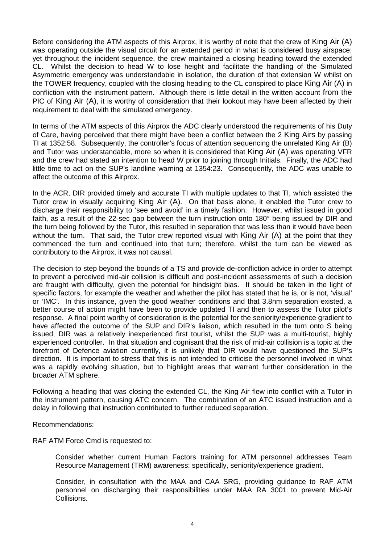Before considering the ATM aspects of this Airprox, it is worthy of note that the crew of King Air (A) was operating outside the visual circuit for an extended period in what is considered busy airspace; yet throughout the incident sequence, the crew maintained a closing heading toward the extended CL. Whilst the decision to head W to lose height and facilitate the handling of the Simulated Asymmetric emergency was understandable in isolation, the duration of that extension W whilst on the TOWER frequency, coupled with the closing heading to the CL conspired to place King Air (A) in confliction with the instrument pattern. Although there is little detail in the written account from the PIC of King Air (A), it is worthy of consideration that their lookout may have been affected by their requirement to deal with the simulated emergency.

In terms of the ATM aspects of this Airprox the ADC clearly understood the requirements of his Duty of Care, having perceived that there might have been a conflict between the 2 King Airs by passing TI at 1352:58. Subsequently, the controller's focus of attention sequencing the unrelated King Air (B) and Tutor was understandable, more so when it is considered that King Air (A) was operating VFR and the crew had stated an intention to head W prior to joining through Initials. Finally, the ADC had little time to act on the SUP's landline warning at 1354:23. Consequently, the ADC was unable to affect the outcome of this Airprox.

In the ACR, DIR provided timely and accurate TI with multiple updates to that TI, which assisted the Tutor crew in visually acquiring King Air (A). On that basis alone, it enabled the Tutor crew to discharge their responsibility to 'see and avoid' in a timely fashion. However, whilst issued in good faith, as a result of the 22-sec gap between the turn instruction onto 180° being issued by DIR and the turn being followed by the Tutor, this resulted in separation that was less than it would have been without the turn. That said, the Tutor crew reported visual with King Air (A) at the point that they commenced the turn and continued into that turn; therefore, whilst the turn can be viewed as contributory to the Airprox, it was not causal.

The decision to step beyond the bounds of a TS and provide de-confliction advice in order to attempt to prevent a perceived mid-air collision is difficult and post-incident assessments of such a decision are fraught with difficulty, given the potential for hindsight bias. It should be taken in the light of specific factors, for example the weather and whether the pilot has stated that he is, or is not, 'visual' or 'IMC'. In this instance, given the good weather conditions and that 3.8nm separation existed, a better course of action might have been to provide updated TI and then to assess the Tutor pilot's response. A final point worthy of consideration is the potential for the seniority/experience gradient to have affected the outcome of the SUP and DIR's liaison, which resulted in the turn onto S being issued; DIR was a relatively inexperienced first tourist, whilst the SUP was a multi-tourist, highly experienced controller. In that situation and cognisant that the risk of mid-air collision is a topic at the forefront of Defence aviation currently, it is unlikely that DIR would have questioned the SUP's direction. It is important to stress that this is not intended to criticise the personnel involved in what was a rapidly evolving situation, but to highlight areas that warrant further consideration in the broader ATM sphere.

Following a heading that was closing the extended CL, the King Air flew into conflict with a Tutor in the instrument pattern, causing ATC concern. The combination of an ATC issued instruction and a delay in following that instruction contributed to further reduced separation.

Recommendations:

RAF ATM Force Cmd is requested to:

Consider whether current Human Factors training for ATM personnel addresses Team Resource Management (TRM) awareness: specifically, seniority/experience gradient.

Consider, in consultation with the MAA and CAA SRG, providing guidance to RAF ATM personnel on discharging their responsibilities under MAA RA 3001 to prevent Mid-Air Collisions.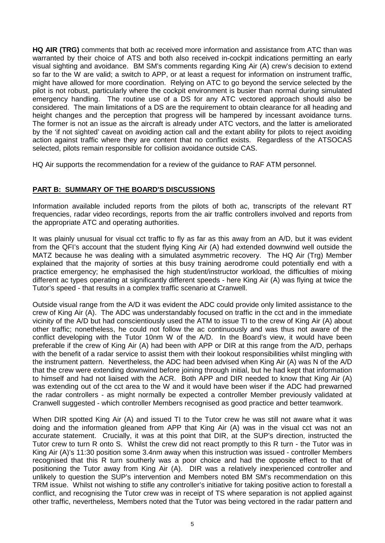**HQ AIR (TRG)** comments that both ac received more information and assistance from ATC than was warranted by their choice of ATS and both also received in-cockpit indications permitting an early visual sighting and avoidance. BM SM's comments regarding King Air (A) crew's decision to extend so far to the W are valid; a switch to APP, or at least a request for information on instrument traffic, might have allowed for more coordination. Relying on ATC to go beyond the service selected by the pilot is not robust, particularly where the cockpit environment is busier than normal during simulated emergency handling. The routine use of a DS for any ATC vectored approach should also be considered. The main limitations of a DS are the requirement to obtain clearance for all heading and height changes and the perception that progress will be hampered by incessant avoidance turns. The former is not an issue as the aircraft is already under ATC vectors, and the latter is ameliorated by the 'if not sighted' caveat on avoiding action call and the extant ability for pilots to reject avoiding action against traffic where they are content that no conflict exists. Regardless of the ATSOCAS selected, pilots remain responsible for collision avoidance outside CAS.

HQ Air supports the recommendation for a review of the guidance to RAF ATM personnel.

## **PART B: SUMMARY OF THE BOARD'S DISCUSSIONS**

Information available included reports from the pilots of both ac, transcripts of the relevant RT frequencies, radar video recordings, reports from the air traffic controllers involved and reports from the appropriate ATC and operating authorities.

It was plainly unusual for visual cct traffic to fly as far as this away from an A/D, but it was evident from the QFI's account that the student flying King Air (A) had extended downwind well outside the MATZ because he was dealing with a simulated asymmetric recovery. The HQ Air (Trg) Member explained that the majority of sorties at this busy training aerodrome could potentially end with a practice emergency; he emphasised the high student/instructor workload, the difficulties of mixing different ac types operating at significantly different speeds - here King Air (A) was flying at twice the Tutor's speed - that results in a complex traffic scenario at Cranwell.

Outside visual range from the A/D it was evident the ADC could provide only limited assistance to the crew of King Air (A). The ADC was understandably focused on traffic in the cct and in the immediate vicinity of the A/D but had conscientiously used the ATM to issue TI to the crew of King Air (A) about other traffic; nonetheless, he could not follow the ac continuously and was thus not aware of the conflict developing with the Tutor 10nm W of the A/D. In the Board's view, it would have been preferable if the crew of King Air (A) had been with APP or DIR at this range from the A/D, perhaps with the benefit of a radar service to assist them with their lookout responsibilities whilst mingling with the instrument pattern. Nevertheless, the ADC had been advised when King Air (A) was N of the A/D that the crew were extending downwind before joining through initial, but he had kept that information to himself and had not liaised with the ACR. Both APP and DIR needed to know that King Air (A) was extending out of the cct area to the W and it would have been wiser if the ADC had prewarned the radar controllers - as might normally be expected a controller Member previously validated at Cranwell suggested - which controller Members recognised as good practice and better teamwork.

When DIR spotted King Air (A) and issued TI to the Tutor crew he was still not aware what it was doing and the information gleaned from APP that King Air (A) was in the visual cct was not an accurate statement. Crucially, it was at this point that DIR, at the SUP's direction, instructed the Tutor crew to turn R onto S. Whilst the crew did not react promptly to this R turn - the Tutor was in King Air (A)'s 11:30 position some 3.4nm away when this instruction was issued - controller Members recognised that this R turn southerly was a poor choice and had the opposite effect to that of positioning the Tutor away from King Air (A). DIR was a relatively inexperienced controller and unlikely to question the SUP's intervention and Members noted BM SM's recommendation on this TRM issue. Whilst not wishing to stifle any controller's initiative for taking positive action to forestall a conflict, and recognising the Tutor crew was in receipt of TS where separation is not applied against other traffic, nevertheless, Members noted that the Tutor was being vectored in the radar pattern and